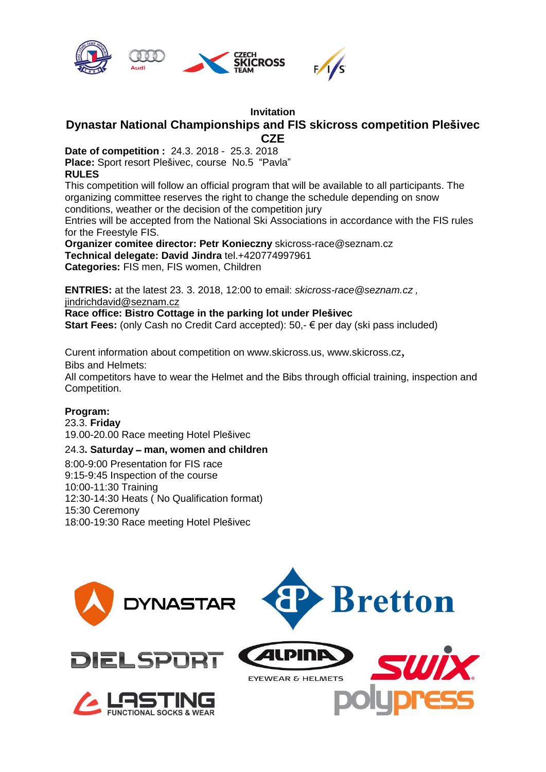

## **Invitation Dynastar National Championships and FIS skicross competition Plešivec CZE**

**Date of competition :** 24.3. 2018 - 25.3. 2018 **Place:** Sport resort Plešivec, course No.5 "Pavla" **RULES**

This competition will follow an official program that will be available to all participants. The organizing committee reserves the right to change the schedule depending on snow conditions, weather or the decision of the competition jury

Entries will be accepted from the National Ski Associations in accordance with the FIS rules for the Freestyle FIS.

**Organizer comitee director: Petr Konieczny** skicross-race@seznam.cz **Technical delegate: David Jindra** tel.+420774997961 **Categories:** FIS men, FIS women, Children

**ENTRIES:** at the latest 23. 3. 2018, 12:00 to email: *skicross-race@seznam.cz ,* [jindrichdavid@seznam.cz](mailto:jindrichdavid@seznam.cz)

**Race office: Bistro Cottage in the parking lot under Plešivec Start Fees:** (only Cash no Credit Card accepted): 50,- € per day (ski pass included)

Curent information about competition on www.skicross.us, www.skicross.cz*,* Bibs and Helmets:

All competitors have to wear the Helmet and the Bibs through official training, inspection and Competition.

## **Program:**

23.3. **Friday** 19.00-20.00 Race meeting Hotel Plešivec

## 24.3**. Saturday** – **man, women and children**

8:00-9:00 Presentation for FIS race 9:15-9:45 Inspection of the course 10:00-11:30 Training 12:30-14:30 Heats ( No Qualification format) 15:30 Ceremony 18:00-19:30 Race meeting Hotel Plešivec